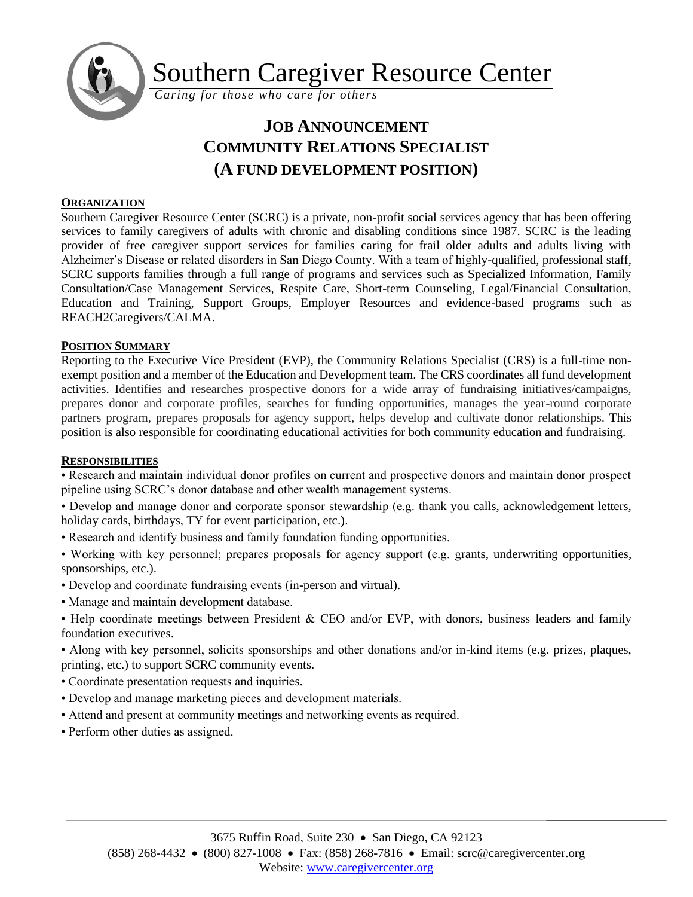

Southern Caregiver Resource Center

*Caring for those who care for others*

# **JOB ANNOUNCEMENT COMMUNITY RELATIONS SPECIALIST (A FUND DEVELOPMENT POSITION)**

## **ORGANIZATION**

Southern Caregiver Resource Center (SCRC) is a private, non-profit social services agency that has been offering services to family caregivers of adults with chronic and disabling conditions since 1987. SCRC is the leading provider of free caregiver support services for families caring for frail older adults and adults living with Alzheimer's Disease or related disorders in San Diego County. With a team of highly-qualified, professional staff, SCRC supports families through a full range of programs and services such as Specialized Information, Family Consultation/Case Management Services, Respite Care, Short-term Counseling, Legal/Financial Consultation, Education and Training, Support Groups, Employer Resources and evidence-based programs such as REACH2Caregivers/CALMA.

## **POSITION SUMMARY**

Reporting to the Executive Vice President (EVP), the Community Relations Specialist (CRS) is a full-time nonexempt position and a member of the Education and Development team. The CRS coordinates all fund development activities. Identifies and researches prospective donors for a wide array of fundraising initiatives/campaigns, prepares donor and corporate profiles, searches for funding opportunities, manages the year-round corporate partners program, prepares proposals for agency support, helps develop and cultivate donor relationships. This position is also responsible for coordinating educational activities for both community education and fundraising.

## **RESPONSIBILITIES**

• Research and maintain individual donor profiles on current and prospective donors and maintain donor prospect pipeline using SCRC's donor database and other wealth management systems.

• Develop and manage donor and corporate sponsor stewardship (e.g. thank you calls, acknowledgement letters, holiday cards, birthdays, TY for event participation, etc.).

- Research and identify business and family foundation funding opportunities.
- Working with key personnel; prepares proposals for agency support (e.g. grants, underwriting opportunities, sponsorships, etc.).
- Develop and coordinate fundraising events (in-person and virtual).
- Manage and maintain development database.
- Help coordinate meetings between President & CEO and/or EVP, with donors, business leaders and family foundation executives.

• Along with key personnel, solicits sponsorships and other donations and/or in-kind items (e.g. prizes, plaques, printing, etc.) to support SCRC community events.

- Coordinate presentation requests and inquiries.
- Develop and manage marketing pieces and development materials.
- Attend and present at community meetings and networking events as required.
- Perform other duties as assigned.